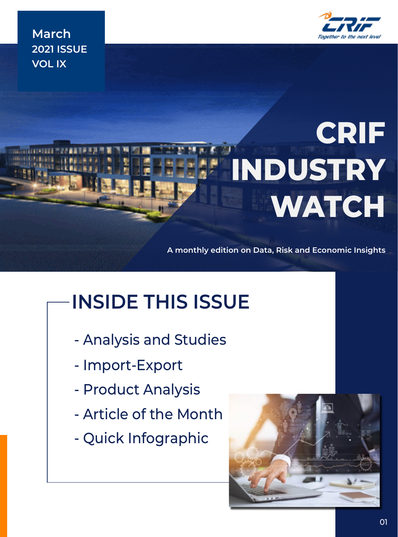**March 2021 ISSUE VOL IX**

# **CRIF INDUSTRY WATCH**

**A monthly edition on Data, Risk and Economic Insights**

## **INSIDE THIS ISSUE**

- Analysis and Studies
- Import-Export
- Product Analysis
- Article of the Month
- Quick Infographic

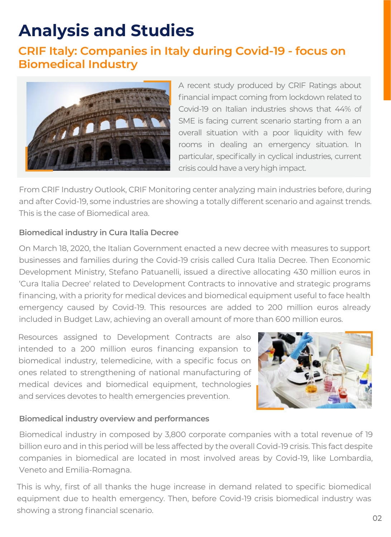### **Analysis and Studies**

#### **CRIF Italy: Companies in Italy during Covid-19 - focus on Biomedical Industry**



A recent study produced by CRIF Ratings about financial impact coming from lockdown related to Covid-19 on Italian industries shows that 44% of SME is facing current scenario starting from a an overall situation with a poor liquidity with few rooms in dealing an emergency situation. In particular, specifically in cyclical industries, current crisis could have a very high impact.

From CRIF Industry Outlook, CRIF Monitoring center analyzing main industries before, during and after Covid-19, some industries are showing a totally different scenario and against trends. This is the case of Biomedical area.

#### **Biomedical industry in Cura Italia Decree**

On March 18, 2020, the Italian Government enacted a new decree with measures to support businesses and families during the Covid-19 crisis called Cura Italia Decree. Then Economic Development Ministry, Stefano Patuanelli, issued a directive allocating 430 million euros in 'Cura Italia Decree' related to Development Contracts to innovative and strategic programs financing, with a priority for medical devices and biomedical equipment useful to face health emergency caused by Covid-19. This resources are added to 200 million euros already included in Budget Law, achieving an overall amount of more than 600 million euros.

Resources assigned to Development Contracts are also intended to a 200 million euros financing expansion to biomedical industry, telemedicine, with a specific focus on ones related to strengthening of national manufacturing of medical devices and biomedical equipment, technologies and services devotes to health emergencies prevention.



#### **Biomedical industry overview and performances**

Biomedical industry in composed by 3,800 corporate companies with a total revenue of 19 billion euro and in this period will be less affected by the overall Covid-19 crisis. This fact despite companies in biomedical are located in most involved areas by Covid-19, like Lombardia, Veneto and Emilia-Romagna.

This is why, first of all thanks the huge increase in demand related to specific biomedical equipment due to health emergency. Then, before Covid-19 crisis biomedical industry was showing a strong financial scenario.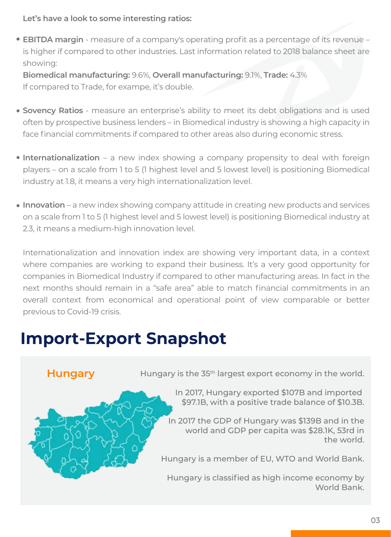**Let's have a look to some interesting ratios:**

**EBITDA margin** - measure of a company's operating profit as a percentage of its revenue – is higher if compared to other industries. Last information related to 2018 balance sheet are showing:

**Biomedical manufacturing:** 9.6%, **Overall manufacturing:** 9.1%, **Trade:** 4.3% If compared to Trade, for exampe, it's double.

- **Sovency Ratios** measure an enterprise's ability to meet its debt obligations and is used often by prospective business lenders – in Biomedical industry is showing a high capacity in face financial commitments if compared to other areas also during economic stress.
- **Internationalization** a new index showing a company propensity to deal with foreign players – on a scale from 1 to 5 (1 highest level and 5 lowest level) is positioning Biomedical industry at 1.8, it means a very high internationalization level.
- **Innovation** a new index showing company attitude in creating new products and services on a scale from 1 to 5 (1 highest level and 5 lowest level) is positioning Biomedical industry at 2.3, it means a medium-high innovation level.

Internationalization and innovation index are showing very important data, in a context where companies are working to expand their business. It's a very good opportunity for companies in Biomedical Industry if compared to other manufacturing areas. In fact in the next months should remain in a "safe area" able to match financial commitments in an overall context from economical and operational point of view comparable or better previous to Covid-19 crisis.

### **Import-Export Snapshot**

**Hungary** Hungary is the 35<sup>th</sup> largest export economy in the world.

In 2017, Hungary exported \$107B and imported \$97.1B, with a positive trade balance of \$10.3B.

In 2017 the GDP of Hungary was \$139B and in the world and GDP per capita was \$28.1K, 53rd in the world.

Hungary is a member of EU, WTO and World Bank.

Hungary is classified as high income economy by World Bank.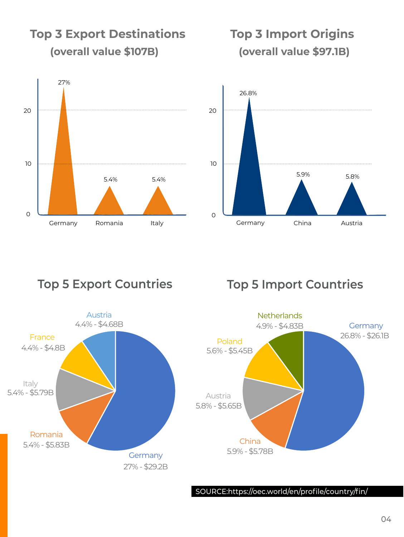

**Top 3 Export Destinations**

**Top 3 Import Origins (overall value \$97.1B)**



### **Top 5 Export Countries Top 5 Import Countries**





SOURCE:https://oec.world/en/profile/country/fin/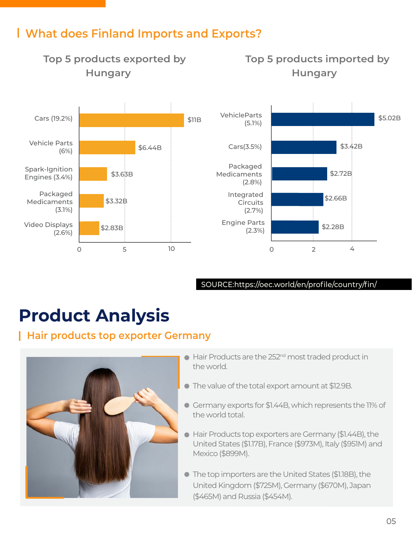#### **What does Finland Imports and Exports?**



SOURCE:https://oec.world/en/profile/country/fin/

### **Product Analysis**

#### **Hair products top exporter Germany**



- $\bullet$  Hair Products are the 252<sup>nd</sup> most traded product in the world.
- The value of the total export amount at \$12.9B.
- Germany exports for \$1.44B, which represents the 11% of the world total.
- Hair Products top exporters are Germany (\$1.44B), the United States (\$1.17B), France (\$973M), Italy (\$951M) and Mexico (\$899M).
- The top importers are the United States (\$1.18B), the United Kingdom (\$725M), Germany (\$670M), Japan (\$465M) and Russia (\$454M).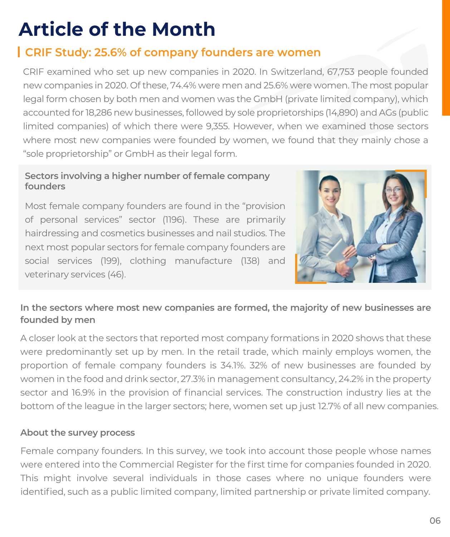### **Article of the Month**

#### **CRIF Study: 25.6% of company founders are women**

CRIF examined who set up new companies in 2020. In Switzerland, 67,753 people founded new companies in 2020. Of these, 74.4% were men and 25.6% were women. The most popular legal form chosen by both men and women was the GmbH (private limited company), which accounted for 18,286 new businesses, followed by sole proprietorships (14,890) and AGs (public limited companies) of which there were 9,355. However, when we examined those sectors where most new companies were founded by women, we found that they mainly chose a "sole proprietorship" or GmbH as their legal form.

#### **Sectors involving a higher number of female company founders**

Most female company founders are found in the "provision of personal services" sector (1196). These are primarily hairdressing and cosmetics businesses and nail studios. The next most popular sectors for female company founders are social services (199), clothing manufacture (138) and veterinary services (46).



#### **In the sectors where most new companies are formed, the majority of new businesses are founded by men**

A closer look at the sectors that reported most company formations in 2020 shows that these were predominantly set up by men. In the retail trade, which mainly employs women, the proportion of female company founders is 34.1%. 32% of new businesses are founded by women in the food and drink sector, 27.3% in management consultancy, 24.2% in the property sector and 16.9% in the provision of financial services. The construction industry lies at the bottom of the league in the larger sectors; here, women set up just 12.7% of all new companies.

#### **About the survey process**

Female company founders. In this survey, we took into account those people whose names were entered into the Commercial Register for the first time for companies founded in 2020. This might involve several individuals in those cases where no unique founders were identified, such as a public limited company, limited partnership or private limited company.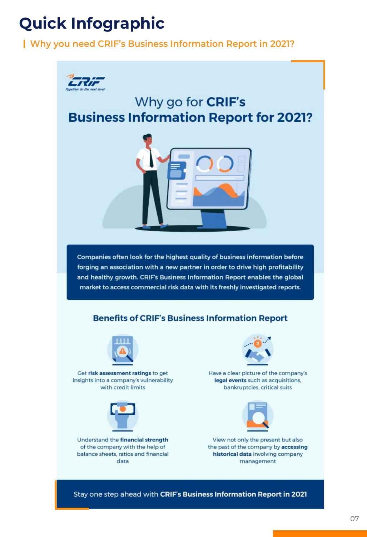### **Quick Infographic**

#### **Why you need CRIF's Business Information Report in 2021?**



Companies often look for the highest quality of business information before forging an association with a new partner in order to drive high profitability and healthy growth. CRIF's Business Information Report enables the global market to access commercial risk data with its freshly investigated reports.

#### **Benefits of CRIF's Business Information Report**



Get risk assessment ratings to get insights into a company's vulnerability with credit limits



Understand the financial strength of the company with the help of balance sheets, ratios and financial data



Have a clear picture of the company's legal events such as acquisitions, bankruptcies, critical suits



View not only the present but also the past of the company by accessing historical data involving company management

Stay one step ahead with CRIF's Business Information Report in 2021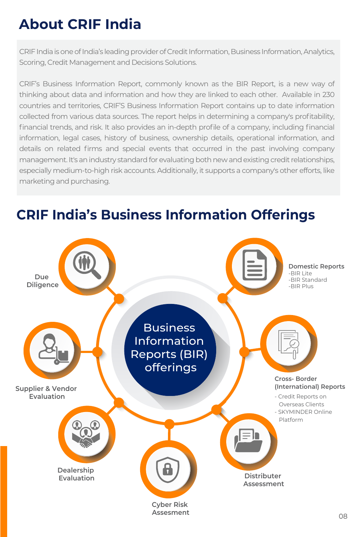### **About CRIF India**

CRIF India is one of India's leading provider of Credit Information, Business Information, Analytics, Scoring, Credit Management and Decisions Solutions.

CRIF's Business Information Report, commonly known as the BIR Report, is a new way of thinking about data and information and how they are linked to each other. Available in 230 countries and territories, CRIF'S Business Information Report contains up to date information collected from various data sources. The report helps in determining a company's profitability, financial trends, and risk. It also provides an in-depth profile of a company, including financial information, legal cases, history of business, ownership details, operational information, and details on related firms and special events that occurred in the past involving company management. It's an industry standard for evaluating both new and existing credit relationships, especially medium-to-high risk accounts. Additionally, it supports a company's other efforts, like marketing and purchasing.

### **CRIF India's Business Information Offerings**